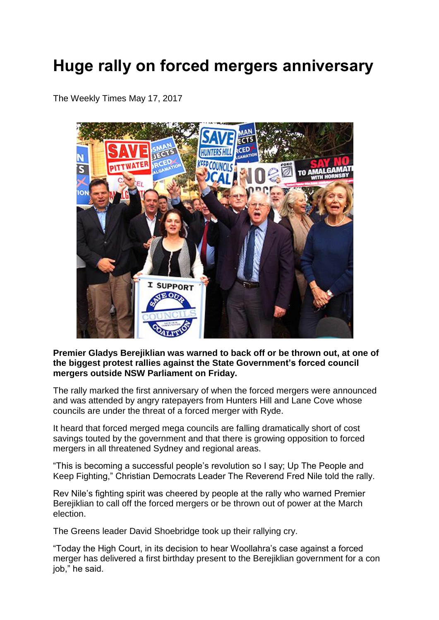## **Huge rally on forced mergers anniversary**

The Weekly Times May 17, 2017



## **Premier Gladys Berejiklian was warned to back off or be thrown out, at one of the biggest protest rallies against the State Government's forced council mergers outside NSW Parliament on Friday.**

The rally marked the first anniversary of when the forced mergers were announced and was attended by angry ratepayers from Hunters Hill and Lane Cove whose councils are under the threat of a forced merger with Ryde.

It heard that forced merged mega councils are falling dramatically short of cost savings touted by the government and that there is growing opposition to forced mergers in all threatened Sydney and regional areas.

"This is becoming a successful people's revolution so I say; Up The People and Keep Fighting," Christian Democrats Leader The Reverend Fred Nile told the rally.

Rev Nile's fighting spirit was cheered by people at the rally who warned Premier Berejiklian to call off the forced mergers or be thrown out of power at the March election.

The Greens leader David Shoebridge took up their rallying cry.

"Today the High Court, in its decision to hear Woollahra's case against a forced merger has delivered a first birthday present to the Berejiklian government for a con job," he said.